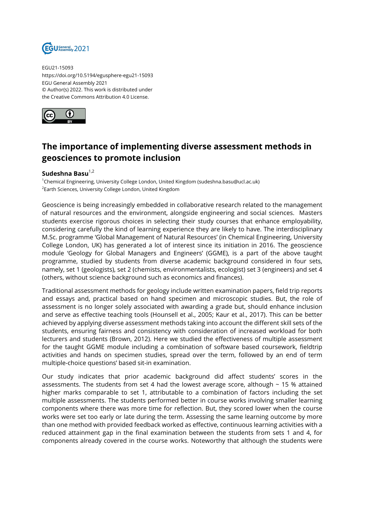

EGU21-15093 https://doi.org/10.5194/egusphere-egu21-15093 EGU General Assembly 2021 © Author(s) 2022. This work is distributed under the Creative Commons Attribution 4.0 License.



## **The importance of implementing diverse assessment methods in geosciences to promote inclusion**

## Sudeshna Basu<sup>1,2</sup>

<sup>1</sup>Chemical Engineering, University College London, United Kingdom (sudeshna.basu@ucl.ac.uk)  $^2$ Earth Sciences, University College London, United Kingdom

Geoscience is being increasingly embedded in collaborative research related to the management of natural resources and the environment, alongside engineering and social sciences. Masters students exercise rigorous choices in selecting their study courses that enhance employability, considering carefully the kind of learning experience they are likely to have. The interdisciplinary M.Sc. programme 'Global Management of Natural Resources' (in Chemical Engineering, University College London, UK) has generated a lot of interest since its initiation in 2016. The geoscience module 'Geology for Global Managers and Engineers' (GGME), is a part of the above taught programme, studied by students from diverse academic background considered in four sets, namely, set 1 (geologists), set 2 (chemists, environmentalists, ecologist) set 3 (engineers) and set 4 (others, without science background such as economics and finances).

Traditional assessment methods for geology include written examination papers, field trip reports and essays and, practical based on hand specimen and microscopic studies. But, the role of assessment is no longer solely associated with awarding a grade but, should enhance inclusion and serve as effective teaching tools (Hounsell et al., 2005; Kaur et al., 2017). This can be better achieved by applying diverse assessment methods taking into account the different skill sets of the students, ensuring fairness and consistency with consideration of increased workload for both lecturers and students (Brown, 2012). Here we studied the effectiveness of multiple assessment for the taught GGME module including a combination of software based coursework, fieldtrip activities and hands on specimen studies, spread over the term, followed by an end of term multiple-choice questions' based sit-in examination.

Our study indicates that prior academic background did affect students' scores in the assessments. The students from set 4 had the lowest average score, although  $\sim$  15 % attained higher marks comparable to set 1, attributable to a combination of factors including the set multiple assessments. The students performed better in course works involving smaller learning components where there was more time for reflection. But, they scored lower when the course works were set too early or late during the term. Assessing the same learning outcome by more than one method with provided feedback worked as effective, continuous learning activities with a reduced attainment gap in the final examination between the students from sets 1 and 4, for components already covered in the course works. Noteworthy that although the students were